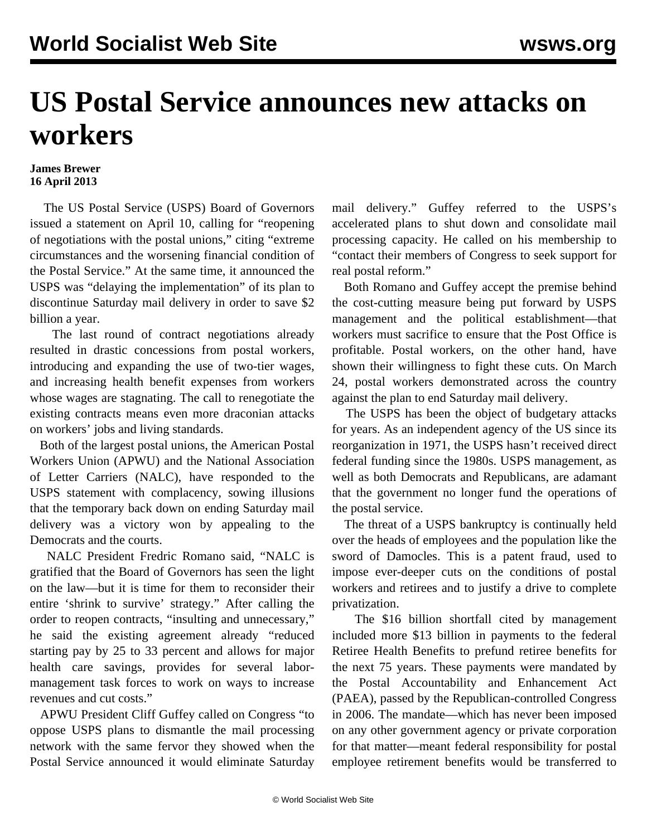## **US Postal Service announces new attacks on workers**

## **James Brewer 16 April 2013**

 The US Postal Service (USPS) Board of Governors issued a statement on April 10, calling for "reopening of negotiations with the postal unions," citing "extreme circumstances and the worsening financial condition of the Postal Service." At the same time, it announced the USPS was "delaying the implementation" of its plan to discontinue Saturday mail delivery in order to save \$2 billion a year.

 The last round of contract negotiations already resulted in drastic concessions from postal workers, introducing and expanding the use of two-tier wages, and increasing health benefit expenses from workers whose wages are stagnating. The call to renegotiate the existing contracts means even more draconian attacks on workers' jobs and living standards.

 Both of the largest postal unions, the American Postal Workers Union (APWU) and the National Association of Letter Carriers (NALC), have responded to the USPS statement with complacency, sowing illusions that the temporary back down on ending Saturday mail delivery was a victory won by appealing to the Democrats and the courts.

 NALC President Fredric Romano said, "NALC is gratified that the Board of Governors has seen the light on the law—but it is time for them to reconsider their entire 'shrink to survive' strategy." After calling the order to reopen contracts, "insulting and unnecessary," he said the existing agreement already "reduced starting pay by 25 to 33 percent and allows for major health care savings, provides for several labormanagement task forces to work on ways to increase revenues and cut costs."

 APWU President Cliff Guffey called on Congress "to oppose USPS plans to dismantle the mail processing network with the same fervor they showed when the Postal Service announced it would eliminate Saturday

mail delivery." Guffey referred to the USPS's accelerated plans to shut down and consolidate mail processing capacity. He called on his membership to "contact their members of Congress to seek support for real postal reform."

 Both Romano and Guffey accept the premise behind the cost-cutting measure being put forward by USPS management and the political establishment—that workers must sacrifice to ensure that the Post Office is profitable. Postal workers, on the other hand, have shown their willingness to fight these cuts. On March 24, postal workers demonstrated across the country against the plan to end Saturday mail delivery.

 The USPS has been the object of budgetary attacks for years. As an independent agency of the US since its reorganization in 1971, the USPS hasn't received direct federal funding since the 1980s. USPS management, as well as both Democrats and Republicans, are adamant that the government no longer fund the operations of the postal service.

 The threat of a USPS bankruptcy is continually held over the heads of employees and the population like the sword of Damocles. This is a patent fraud, used to impose ever-deeper cuts on the conditions of postal workers and retirees and to justify a drive to complete privatization.

 The \$16 billion shortfall cited by management included more \$13 billion in payments to the federal Retiree Health Benefits to prefund retiree benefits for the next 75 years. These payments were mandated by the Postal Accountability and Enhancement Act (PAEA), passed by the Republican-controlled Congress in 2006. The mandate—which has never been imposed on any other government agency or private corporation for that matter—meant federal responsibility for postal employee retirement benefits would be transferred to